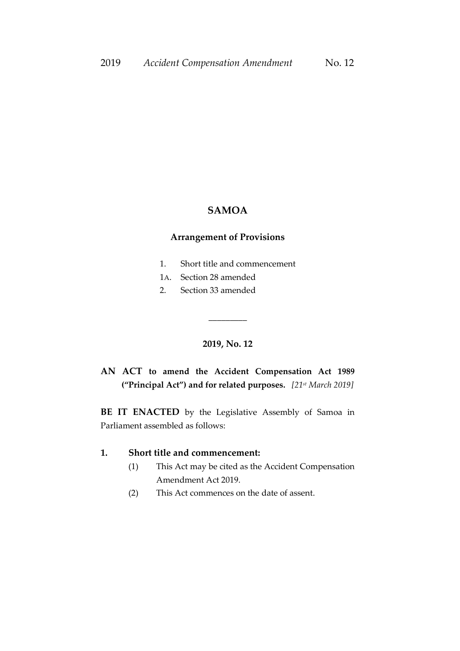#### **SAMOA**

#### **Arrangement of Provisions**

- 1. Short title and commencement
- 1A. Section 28 amended
- 2. Section 33 amended

## **2019, No. 12**

 $\overline{\phantom{a}}$  ,  $\overline{\phantom{a}}$  ,  $\overline{\phantom{a}}$  ,  $\overline{\phantom{a}}$  ,  $\overline{\phantom{a}}$  ,  $\overline{\phantom{a}}$  ,  $\overline{\phantom{a}}$  ,  $\overline{\phantom{a}}$  ,  $\overline{\phantom{a}}$  ,  $\overline{\phantom{a}}$  ,  $\overline{\phantom{a}}$  ,  $\overline{\phantom{a}}$  ,  $\overline{\phantom{a}}$  ,  $\overline{\phantom{a}}$  ,  $\overline{\phantom{a}}$  ,  $\overline{\phantom{a}}$ 

**AN ACT to amend the Accident Compensation Act 1989 ("Principal Act") and for related purposes.** *[21 st March 2019]*

**BE IT ENACTED** by the Legislative Assembly of Samoa in Parliament assembled as follows:

## **1. Short title and commencement:**

- (1) This Act may be cited as the Accident Compensation Amendment Act 2019.
- (2) This Act commences on the date of assent.